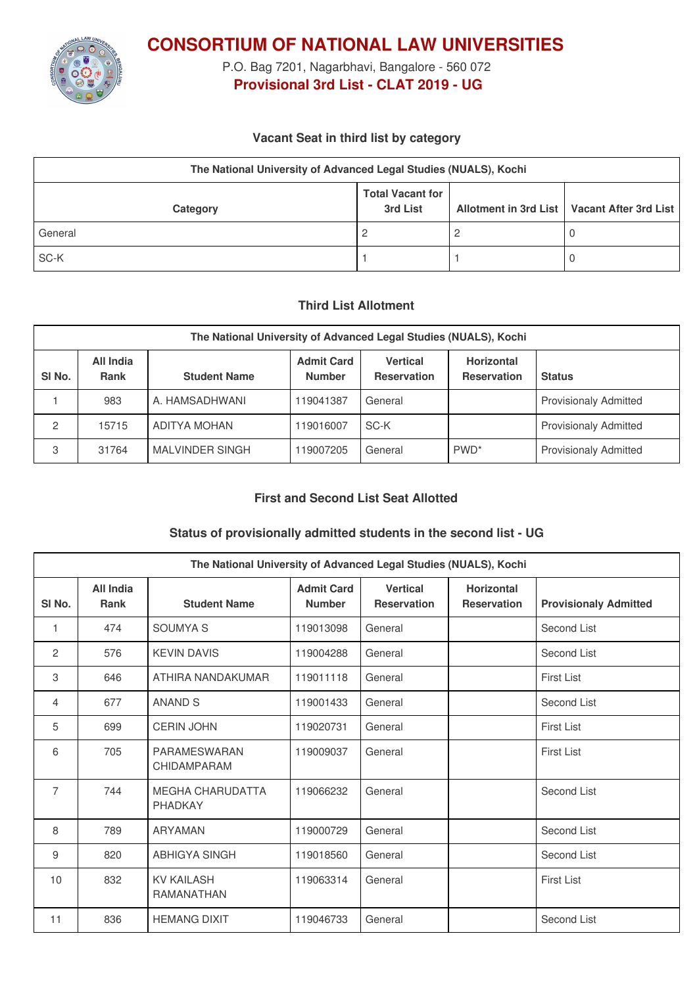

**CONSORTIUM OF NATIONAL LAW UNIVERSITIES**

P.O. Bag 7201, Nagarbhavi, Bangalore - 560 072 **Provisional 3rd List - CLAT 2019 - UG**

### **Vacant Seat in third list by category**

| The National University of Advanced Legal Studies (NUALS), Kochi |                                     |  |                                               |  |  |
|------------------------------------------------------------------|-------------------------------------|--|-----------------------------------------------|--|--|
| Category                                                         | <b>Total Vacant for</b><br>3rd List |  | Allotment in 3rd List   Vacant After 3rd List |  |  |
| General                                                          | 2                                   |  |                                               |  |  |
| SC-K                                                             |                                     |  |                                               |  |  |

### **Third List Allotment**

| The National University of Advanced Legal Studies (NUALS), Kochi |                          |                     |                                    |                                       |                                         |                              |
|------------------------------------------------------------------|--------------------------|---------------------|------------------------------------|---------------------------------------|-----------------------------------------|------------------------------|
| SI <sub>No.</sub>                                                | All India<br><b>Rank</b> | <b>Student Name</b> | <b>Admit Card</b><br><b>Number</b> | <b>Vertical</b><br><b>Reservation</b> | <b>Horizontal</b><br><b>Reservation</b> | <b>Status</b>                |
|                                                                  | 983                      | A. HAMSADHWANI      | 119041387                          | General                               |                                         | <b>Provisionaly Admitted</b> |
| 2                                                                | 15715                    | ADITYA MOHAN        | 119016007                          | SC-K                                  |                                         | <b>Provisionaly Admitted</b> |
| 3                                                                | 31764                    | MALVINDER SINGH     | 119007205                          | General                               | PWD <sup>*</sup>                        | <b>Provisionaly Admitted</b> |

# **First and Second List Seat Allotted**

## **Status of provisionally admitted students in the second list - UG**

| The National University of Advanced Legal Studies (NUALS), Kochi |                          |                                        |                                    |                                       |                                         |                              |
|------------------------------------------------------------------|--------------------------|----------------------------------------|------------------------------------|---------------------------------------|-----------------------------------------|------------------------------|
| SI <sub>No.</sub>                                                | All India<br><b>Rank</b> | <b>Student Name</b>                    | <b>Admit Card</b><br><b>Number</b> | <b>Vertical</b><br><b>Reservation</b> | <b>Horizontal</b><br><b>Reservation</b> | <b>Provisionaly Admitted</b> |
| 1                                                                | 474                      | <b>SOUMYA S</b>                        | 119013098                          | General                               |                                         | Second List                  |
| 2                                                                | 576                      | <b>KEVIN DAVIS</b>                     | 119004288                          | General                               |                                         | Second List                  |
| 3                                                                | 646                      | ATHIRA NANDAKUMAR                      | 119011118                          | General                               |                                         | <b>First List</b>            |
| 4                                                                | 677                      | <b>ANAND S</b>                         | 119001433                          | General                               |                                         | Second List                  |
| 5                                                                | 699                      | <b>CERIN JOHN</b>                      | 119020731                          | General                               |                                         | <b>First List</b>            |
| 6                                                                | 705                      | <b>PARAMESWARAN</b><br>CHIDAMPARAM     | 119009037                          | General                               |                                         | <b>First List</b>            |
| $\overline{7}$                                                   | 744                      | <b>MEGHA CHARUDATTA</b><br>PHADKAY     | 119066232                          | General                               |                                         | Second List                  |
| 8                                                                | 789                      | <b>ARYAMAN</b>                         | 119000729                          | General                               |                                         | Second List                  |
| 9                                                                | 820                      | <b>ABHIGYA SINGH</b>                   | 119018560                          | General                               |                                         | Second List                  |
| 10                                                               | 832                      | <b>KV KAILASH</b><br><b>RAMANATHAN</b> | 119063314                          | General                               |                                         | <b>First List</b>            |
| 11                                                               | 836                      | <b>HEMANG DIXIT</b>                    | 119046733                          | General                               |                                         | Second List                  |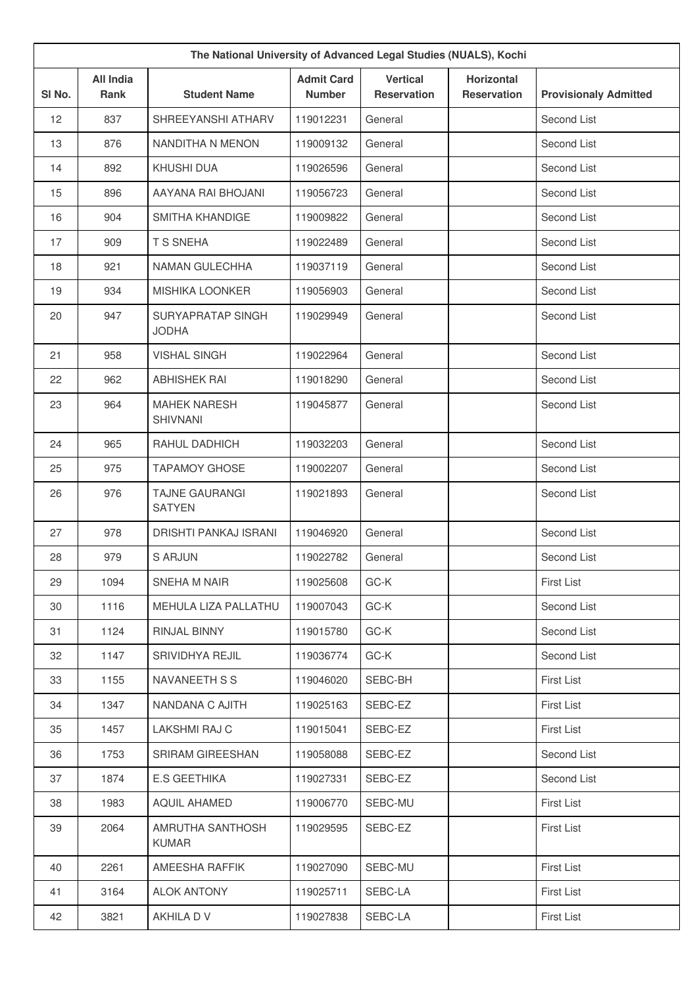| The National University of Advanced Legal Studies (NUALS), Kochi |                                 |                                        |                                    |                                       |                                         |                              |
|------------------------------------------------------------------|---------------------------------|----------------------------------------|------------------------------------|---------------------------------------|-----------------------------------------|------------------------------|
| SI No.                                                           | <b>All India</b><br><b>Rank</b> | <b>Student Name</b>                    | <b>Admit Card</b><br><b>Number</b> | <b>Vertical</b><br><b>Reservation</b> | <b>Horizontal</b><br><b>Reservation</b> | <b>Provisionaly Admitted</b> |
| 12                                                               | 837                             | SHREEYANSHI ATHARV                     | 119012231                          | General                               |                                         | Second List                  |
| 13                                                               | 876                             | NANDITHA N MENON                       | 119009132                          | General                               |                                         | Second List                  |
| 14                                                               | 892                             | KHUSHI DUA                             | 119026596                          | General                               |                                         | Second List                  |
| 15                                                               | 896                             | AAYANA RAI BHOJANI                     | 119056723                          | General                               |                                         | Second List                  |
| 16                                                               | 904                             | <b>SMITHA KHANDIGE</b>                 | 119009822                          | General                               |                                         | Second List                  |
| 17                                                               | 909                             | T S SNEHA                              | 119022489                          | General                               |                                         | Second List                  |
| 18                                                               | 921                             | NAMAN GULECHHA                         | 119037119                          | General                               |                                         | Second List                  |
| 19                                                               | 934                             | <b>MISHIKA LOONKER</b>                 | 119056903                          | General                               |                                         | Second List                  |
| 20                                                               | 947                             | SURYAPRATAP SINGH<br><b>JODHA</b>      | 119029949                          | General                               |                                         | Second List                  |
| 21                                                               | 958                             | <b>VISHAL SINGH</b>                    | 119022964                          | General                               |                                         | Second List                  |
| 22                                                               | 962                             | <b>ABHISHEK RAI</b>                    | 119018290                          | General                               |                                         | Second List                  |
| 23                                                               | 964                             | <b>MAHEK NARESH</b><br><b>SHIVNANI</b> | 119045877                          | General                               |                                         | Second List                  |
| 24                                                               | 965                             | RAHUL DADHICH                          | 119032203                          | General                               |                                         | Second List                  |
| 25                                                               | 975                             | <b>TAPAMOY GHOSE</b>                   | 119002207                          | General                               |                                         | Second List                  |
| 26                                                               | 976                             | <b>TAJNE GAURANGI</b><br><b>SATYEN</b> | 119021893                          | General                               |                                         | Second List                  |
| 27                                                               | 978                             | <b>DRISHTI PANKAJ ISRANI</b>           | 119046920                          | General                               |                                         | Second List                  |
| 28                                                               | 979                             | <b>S ARJUN</b>                         | 119022782                          | General                               |                                         | Second List                  |
| 29                                                               | 1094                            | SNEHA M NAIR                           | 119025608                          | GC-K                                  |                                         | <b>First List</b>            |
| 30                                                               | 1116                            | MEHULA LIZA PALLATHU                   | 119007043                          | GC-K                                  |                                         | Second List                  |
| 31                                                               | 1124                            | RINJAL BINNY                           | 119015780                          | GC-K                                  |                                         | Second List                  |
| 32                                                               | 1147                            | SRIVIDHYA REJIL                        | 119036774                          | GC-K                                  |                                         | Second List                  |
| 33                                                               | 1155                            | NAVANEETH S S                          | 119046020                          | SEBC-BH                               |                                         | <b>First List</b>            |
| 34                                                               | 1347                            | NANDANA C AJITH                        | 119025163                          | SEBC-EZ                               |                                         | First List                   |
| 35                                                               | 1457                            | LAKSHMI RAJ C                          | 119015041                          | SEBC-EZ                               |                                         | <b>First List</b>            |
| 36                                                               | 1753                            | SRIRAM GIREESHAN                       | 119058088                          | SEBC-EZ                               |                                         | Second List                  |
| 37                                                               | 1874                            | E.S GEETHIKA                           | 119027331                          | SEBC-EZ                               |                                         | Second List                  |
| 38                                                               | 1983                            | <b>AQUIL AHAMED</b>                    | 119006770                          | SEBC-MU                               |                                         | <b>First List</b>            |
| 39                                                               | 2064                            | AMRUTHA SANTHOSH<br><b>KUMAR</b>       | 119029595                          | SEBC-EZ                               |                                         | <b>First List</b>            |
| 40                                                               | 2261                            | AMEESHA RAFFIK                         | 119027090                          | SEBC-MU                               |                                         | <b>First List</b>            |
| 41                                                               | 3164                            | <b>ALOK ANTONY</b>                     | 119025711                          | SEBC-LA                               |                                         | <b>First List</b>            |
| 42                                                               | 3821                            | AKHILA D V                             | 119027838                          | SEBC-LA                               |                                         | First List                   |